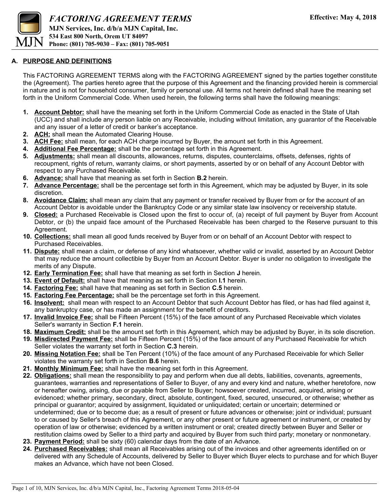

### **A. PURPOSE AND DEFINITIONS**

This FACTORING AGREEMENT TERMS along with the FACTORING AGREEMENT signed by the parties together constitute the (Agreement). The parties hereto agree that the purpose of this Agreement and the financing provided herein is commercial in nature and is not for household consumer, family or personal use. All terms not herein defined shall have the meaning set forth in the Uniform Commercial Code. When used herein, the following terms shall have the following meanings:

- **1. Account Debtor:** shall have the meaning set forth in the Uniform Commercial Code as enacted in the State of Utah (UCC) and shall include any person liable on any Receivable, including without limitation, any guarantor of the Receivable and any issuer of a letter of credit or banker's acceptance.
- **2. ACH:** shall mean the Automated Clearing House.
- **3. ACH Fee:** shall mean, for each ACH charge incurred by Buyer, the amount set forth in this Agreement.
- **4. Additional Fee Percentage:** shall be the percentage set forth in this Agreement.
- **5. Adjustments:** shall mean all discounts, allowances, returns, disputes, counterclaims, offsets, defenses, rights of recoupment, rights of return, warranty claims, or short payments, asserted by or on behalf of any Account Debtor with respect to any Purchased Receivable.
- **6. Advance:** shall have that meaning as set forth in Section **B.2** herein.
- **7. Advance Percentage:** shall be the percentage set forth in this Agreement, which may be adjusted by Buyer, in its sole discretion.
- **8. Avoidance Claim:** shall mean any claim that any payment or transfer received by Buyer from or for the account of an Account Debtor is avoidable under the Bankruptcy Code or any similar state law insolvency or receivership statute.
- **9. Closed:** a Purchased Receivable is Closed upon the first to occur of, (a) receipt of full payment by Buyer from Account Debtor, or (b) the unpaid face amount of the Purchased Receivable has been charged to the Reserve pursuant to this Agreement.
- **10. Collections:** shall mean all good funds received by Buyer from or on behalf of an Account Debtor with respect to Purchased Receivables.
- **11. Dispute:** shall mean a claim, or defense of any kind whatsoever, whether valid or invalid, asserted by an Account Debtor that may reduce the amount collectible by Buyer from an Account Debtor. Buyer is under no obligation to investigate the merits of any Dispute.
- **12. Early Termination Fee:** shall have that meaning as set forth in Section **J** herein.
- **13. Event of Default:** shall have that meaning as set forth in Section **I.1** herein.
- **14. Factoring Fee:** shall have that meaning as set forth in Section **C.5** herein.
- **15. Factoring Fee Percentage:** shall be the percentage set forth in this Agreement.
- **16. Insolvent:** shall mean with respect to an Account Debtor that such Account Debtor has filed, or has had filed against it, any bankruptcy case, or has made an assignment for the benefit of creditors.
- **17. Invalid Invoice Fee:** shall be Fifteen Percent (15%) of the face amount of any Purchased Receivable which violates Seller's warranty in Section **F.1** herein.
- **18. Maximum Credit:** shall be the amount set forth in this Agreement, which may be adjusted by Buyer, in its sole discretion.
- **19. Misdirected Payment Fee:** shall be Fifteen Percent (15%) of the face amount of any Purchased Receivable for which Seller violates the warranty set forth in Section **C.3** herein.
- **20. Missing Notation Fee:** shall be Ten Percent (10%) of the face amount of any Purchased Receivable for which Seller violates the warranty set forth in Section **B.6** herein.
- **21. Monthly Minimum Fee:** shall have the meaning set forth in this Agreement.
- **22. Obligations:** shall mean the responsibility to pay and perform when due all debts, liabilities, covenants, agreements, guarantees, warranties and representations of Seller to Buyer, of any and every kind and nature, whether heretofore, now or hereafter owing, arising, due or payable from Seller to Buyer; howsoever created, incurred, acquired, arising or evidenced; whether primary, secondary, direct, absolute, contingent, fixed, secured, unsecured, or otherwise; whether as principal or guarantor; acquired by assignment, liquidated or unliquidated; certain or uncertain; determined or undetermined; due or to become due; as a result of present or future advances or otherwise; joint or individual; pursuant to or caused by Seller's breach of this Agreement, or any other present or future agreement or instrument, or created by operation of law or otherwise; evidenced by a written instrument or oral; created directly between Buyer and Seller or restitution claims owed by Seller to a third party and acquired by Buyer from such third party; monetary or nonmonetary.
- **23. Payment Period:** shall be sixty (60) calendar days from the date of an Advance.
- **24. Purchased Receivables:** shall mean all Receivables arising out of the invoices and other agreements identified on or delivered with any Schedule of Accounts, delivered by Seller to Buyer which Buyer elects to purchase and for which Buyer makes an Advance, which have not been Closed.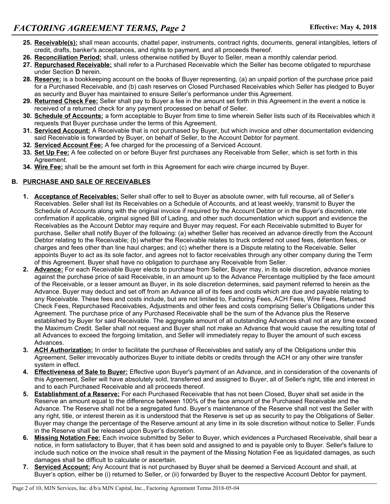- **25. Receivable(s):** shall mean accounts, chattel paper, instruments, contract rights, documents, general intangibles, letters of credit, drafts, banker's acceptances, and rights to payment, and all proceeds thereof.
- **26. Reconciliation Period:** shall, unless otherwise notified by Buyer to Seller, mean a monthly calendar period.
- **27. Repurchased Receivable:** shall refer to a Purchased Receivable which the Seller has become obligated to repurchase under Section **D** herein.
- **28. Reserve:** is a bookkeeping account on the books of Buyer representing, (a) an unpaid portion of the purchase price paid for a Purchased Receivable, and (b) cash reserves on Closed Purchased Receivables which Seller has pledged to Buyer as security and Buyer has maintained to ensure Seller's performance under this Agreement.
- **29. Returned Check Fee:** Seller shall pay to Buyer a fee in the amount set forth in this Agreement in the event a notice is received of a returned check for any payment processed on behalf of Seller.
- **30. Schedule of Accounts:** a form acceptable to Buyer from time to time wherein Seller lists such of its Receivables which it requests that Buyer purchase under the terms of this Agreement.
- **31. Serviced Account:** A Receivable that is not purchased by Buyer, but which invoice and other documentation evidencing said Receivable is forwarded by Buyer, on behalf of Seller, to the Account Debtor for payment.
- **32. Serviced Account Fee:** A fee charged for the processing of a Serviced Account.
- **33. Set Up Fee:** A fee collected on or before Buyer first purchases any Receivable from Seller, which is set forth in this Agreement.
- **34. Wire Fee:** shall be the amount set forth in this Agreement for each wire charge incurred by Buyer.

### **B. PURCHASE AND SALE OF RECEIVABLES**

- **1. Acceptance of Receivables:** Seller shall offer to sell to Buyer as absolute owner, with full recourse, all of Seller's Receivables. Seller shall list its Receivables on a Schedule of Accounts, and at least weekly, transmit to Buyer the Schedule of Accounts along with the original invoice if required by the Account Debtor or in the Buyer's discretion, rate confirmation if applicable, original signed Bill of Lading, and other such documentation which support and evidence the Receivables as the Account Debtor may require and Buyer may request. For each Receivable submitted to Buyer for purchase, Seller shall notify Buyer of the following: (a) whether Seller has received an advance directly from the Account Debtor relating to the Receivable; (b) whether the Receivable relates to truck ordered not used fees, detention fees, or charges and fees other than line haul charges; and (c) whether there is a Dispute relating to the Receivable. Seller appoints Buyer to act as its sole factor, and agrees not to factor receivables through any other company during the Term of this Agreement. Buyer shall have no obligation to purchase any Receivable from Seller.
- **2. Advance:** For each Receivable Buyer elects to purchase from Seller, Buyer may, in its sole discretion, advance monies against the purchase price of said Receivable, in an amount up to the Advance Percentage multiplied by the face amount of the Receivable, or a lesser amount as Buyer, in its sole discretion determines, said payment referred to herein as the Advance. Buyer may deduct and set off from an Advance all of its fees and costs which are due and payable relating to any Receivable. These fees and costs include, but are not limited to, Factoring Fees, ACH Fees, Wire Fees, Returned Check Fees, Repurchased Receivables, Adjustments and other fees and costs comprising Seller's Obligations under this Agreement. The purchase price of any Purchased Receivable shall be the sum of the Advance plus the Reserve established by Buyer for said Receivable. The aggregate amount of all outstanding Advances shall not at any time exceed the Maximum Credit. Seller shall not request and Buyer shall not make an Advance that would cause the resulting total of all Advances to exceed the forgoing limitation, and Seller will immediately repay to Buyer the amount of such excess Advances.
- **3. ACH Authorization:** In order to facilitate the purchase of Receivables and satisfy any of the Obligations under this Agreement, Seller irrevocably authorizes Buyer to initiate debits or credits through the ACH or any other wire transfer system in effect.
- **4. Effectiveness of Sale to Buyer:** Effective upon Buyer's payment of an Advance, and in consideration of the covenants of this Agreement, Seller will have absolutely sold, transferred and assigned to Buyer, all of Seller's right, title and interest in and to each Purchased Receivable and all proceeds thereof.
- **5. Establishment of a Reserve:** For each Purchased Receivable that has not been Closed, Buyer shall set aside in the Reserve an amount equal to the difference between 100% of the face amount of the Purchased Receivable and the Advance. The Reserve shall not be a segregated fund. Buyer's maintenance of the Reserve shall not vest the Seller with any right, title, or interest therein as it is understood that the Reserve is set up as security to pay the Obligations of Seller. Buyer may change the percentage of the Reserve amount at any time in its sole discretion without notice to Seller. Funds in the Reserve shall be released upon Buyer's discretion.
- **6. Missing Notation Fee:** Each invoice submitted by Seller to Buyer, which evidences a Purchased Receivable, shall bear a notice, in form satisfactory to Buyer, that it has been sold and assigned to and is payable only to Buyer. Seller's failure to include such notice on the invoice shall result in the payment of the Missing Notation Fee as liquidated damages, as such damages shall be difficult to calculate or ascertain.
- **7. Serviced Account:** Any Account that is not purchased by Buyer shall be deemed a Serviced Account and shall, at Buyer's option, either be (i) returned to Seller, or (ii) forwarded by Buyer to the respective Account Debtor for payment.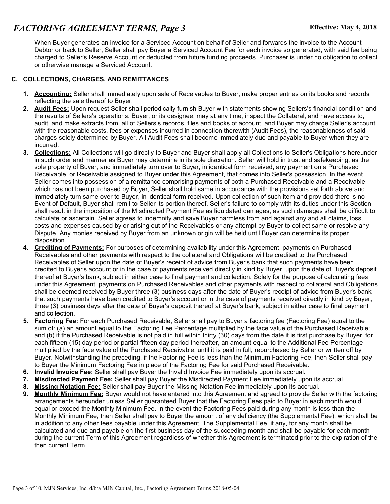When Buyer generates an invoice for a Serviced Account on behalf of Seller and forwards the invoice to the Account Debtor or back to Seller, Seller shall pay Buyer a Serviced Account Fee for each invoice so generated, with said fee being charged to Seller's Reserve Account or deducted from future funding proceeds. Purchaser is under no obligation to collect or otherwise manage a Serviced Account.

### **C. COLLECTIONS, CHARGES, AND REMITTANCES**

- **1. Accounting:** Seller shall immediately upon sale of Receivables to Buyer, make proper entries on its books and records reflecting the sale thereof to Buyer.
- **2. Audit Fees:** Upon request Seller shall periodically furnish Buyer with statements showing Sellers's financial condition and the results of Sellers's operations. Buyer, or its designee, may at any time, inspect the Collateral, and have access to, audit, and make extracts from, all of Sellers's records, files and books of account, and Buyer may charge Seller's account with the reasonable costs, fees or expenses incurred in connection therewith (Audit Fees), the reasonableness of said charges solely determined by Buyer. All Audit Fees shall become immediately due and payable to Buyer when they are incurred.
- **3. Collections:** All Collections will go directly to Buyer and Buyer shall apply all Collections to Seller's Obligations hereunder in such order and manner as Buyer may determine in its sole discretion. Seller will hold in trust and safekeeping, as the sole property of Buyer, and immediately turn over to Buyer, in identical form received, any payment on a Purchased Receivable, or Receivable assigned to Buyer under this Agreement, that comes into Seller's possession. In the event Seller comes into possession of a remittance comprising payments of both a Purchased Receivable and a Receivable which has not been purchased by Buyer, Seller shall hold same in accordance with the provisions set forth above and immediately turn same over to Buyer, in identical form received. Upon collection of such item and provided there is no Event of Default, Buyer shall remit to Seller its portion thereof. Seller's failure to comply with its duties under this Section shall result in the imposition of the Misdirected Payment Fee as liquidated damages, as such damages shall be difficult to calculate or ascertain. Seller agrees to indemnify and save Buyer harmless from and against any and all claims, loss, costs and expenses caused by or arising out of the Receivables or any attempt by Buyer to collect same or resolve any Dispute. Any monies received by Buyer from an unknown origin will be held until Buyer can determine its proper disposition.
- **4. Crediting of Payments:** For purposes of determining availability under this Agreement, payments on Purchased Receivables and other payments with respect to the collateral and Obligations will be credited to the Purchased Receivables of Seller upon the date of Buyer's receipt of advice from Buyer's bank that such payments have been credited to Buyer's account or in the case of payments received directly in kind by Buyer, upon the date of Buyer's deposit thereof at Buyer's bank, subject in either case to final payment and collection. Solely for the purpose of calculating fees under this Agreement, payments on Purchased Receivables and other payments with respect to collateral and Obligations shall be deemed received by Buyer three (3) business days after the date of Buyer's receipt of advice from Buyer's bank that such payments have been credited to Buyer's account or in the case of payments received directly in kind by Buyer, three (3) business days after the date of Buyer's deposit thereof at Buyer's bank, subject in either case to final payment and collection.
- **5. Factoring Fee:** For each Purchased Receivable, Seller shall pay to Buyer a factoring fee (Factoring Fee) equal to the sum of: (a) an amount equal to the Factoring Fee Percentage multiplied by the face value of the Purchased Receivable; and (b) if the Purchased Receivable is not paid in full within thirty (30) days from the date it is first purchase by Buyer, for each fifteen (15) day period or partial fifteen day period thereafter, an amount equal to the Additional Fee Percentage multiplied by the face value of the Purchased Receivable, until it is paid in full, repurchased by Seller or written off by Buyer. Notwithstanding the preceding, if the Factoring Fee is less than the Minimum Factoring Fee, then Seller shall pay to Buyer the Minimum Factoring Fee in place of the Factoring Fee for said Purchased Receivable.
- **6. Invalid Invoice Fee:** Seller shall pay Buyer the Invalid Invoice Fee immediately upon its accrual.
- **7. Misdirected Payment Fee:** Seller shall pay Buyer the Misdirected Payment Fee immediately upon its accrual.
- **8. Missing Notation Fee:** Seller shall pay Buyer the Missing Notation Fee immediately upon its accrual.
- **9. Monthly Minimum Fee:** Buyer would not have entered into this Agreement and agreed to provide Seller with the factoring arrangements hereunder unless Seller guaranteed Buyer that the Factoring Fees paid to Buyer in each month would equal or exceed the Monthly Minimum Fee. In the event the Factoring Fees paid during any month is less than the Monthly Minimum Fee, then Seller shall pay to Buyer the amount of any deficiency (the Supplemental Fee), which shall be in addition to any other fees payable under this Agreement. The Supplemental Fee, if any, for any month shall be calculated and due and payable on the first business day of the succeeding month and shall be payable for each month during the current Term of this Agreement regardless of whether this Agreement is terminated prior to the expiration of the then current Term.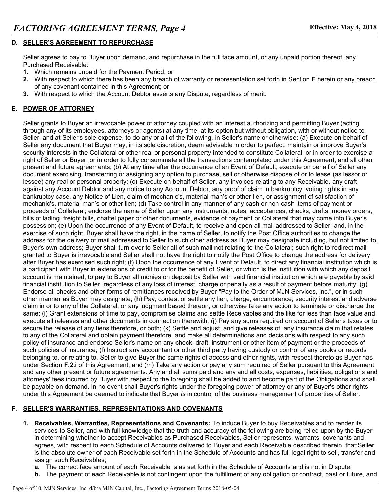### **D. SELLER'S AGREEMENT TO REPURCHASE**

Seller agrees to pay to Buyer upon demand, and repurchase in the full face amount, or any unpaid portion thereof, any Purchased Receivable:

- **1.** Which remains unpaid for the Payment Period; or
- **2.** With respect to which there has been any breach of warranty or representation set forth in Section **F** herein or any breach of any covenant contained in this Agreement; or
- **3.** With respect to which the Account Debtor asserts any Dispute, regardless of merit.

## **E. POWER OF ATTORNEY**

Seller grants to Buyer an irrevocable power of attorney coupled with an interest authorizing and permitting Buyer (acting through any of its employees, attorneys or agents) at any time, at its option but without obligation, with or without notice to Seller, and at Seller's sole expense, to do any or all of the following, in Seller's name or otherwise: (a) Execute on behalf of Seller any document that Buyer may, in its sole discretion, deem advisable in order to perfect, maintain or improve Buyer's security interests in the Collateral or other real or personal property intended to constitute Collateral, or in order to exercise a right of Seller or Buyer, or in order to fully consummate all the transactions contemplated under this Agreement, and all other present and future agreements; (b) At any time after the occurrence of an Event of Default, execute on behalf of Seller any document exercising, transferring or assigning any option to purchase, sell or otherwise dispose of or to lease (as lessor or lessee) any real or personal property; (c) Execute on behalf of Seller, any invoices relating to any Receivable, any draft against any Account Debtor and any notice to any Account Debtor, any proof of claim in bankruptcy, voting rights in any bankruptcy case, any Notice of Lien, claim of mechanic's, material man's or other lien, or assignment of satisfaction of mechanic's, material man's or other lien; (d) Take control in any manner of any cash or non-cash items of payment or proceeds of Collateral; endorse the name of Seller upon any instruments, notes, acceptances, checks, drafts, money orders, bills of lading, freight bills, chattel paper or other documents, evidence of payment or Collateral that may come into Buyer's possession; (e) Upon the occurrence of any Event of Default, to receive and open all mail addressed to Seller; and, in the exercise of such right, Buyer shall have the right, in the name of Seller, to notify the Post Office authorities to change the address for the delivery of mail addressed to Seller to such other address as Buyer may designate including, but not limited to, Buyer's own address; Buyer shall turn over to Seller all of such mail not relating to the Collateral; such right to redirect mail granted to Buyer is irrevocable and Seller shall not have the right to notify the Post Office to change the address for delivery after Buyer has exercised such right; (f) Upon the occurrence of any Event of Default, to direct any financial institution which is a participant with Buyer in extensions of credit to or for the benefit of Seller, or which is the institution with which any deposit account is maintained, to pay to Buyer all monies on deposit by Seller with said financial institution which are payable by said financial institution to Seller, regardless of any loss of interest, charge or penalty as a result of payment before maturity; (g) Endorse all checks and other forms of remittances received by Buyer "Pay to the Order of MJN Services, Inc.", or in such other manner as Buyer may designate; (h) Pay, contest or settle any lien, charge, encumbrance, security interest and adverse claim in or to any of the Collateral, or any judgment based thereon, or otherwise take any action to terminate or discharge the same; (i) Grant extensions of time to pay, compromise claims and settle Receivables and the like for less than face value and execute all releases and other documents in connection therewith; (j) Pay any sums required on account of Seller's taxes or to secure the release of any liens therefore, or both; (k) Settle and adjust, and give releases of, any insurance claim that relates to any of the Collateral and obtain payment therefore, and make all determinations and decisions with respect to any such policy of insurance and endorse Seller's name on any check, draft, instrument or other item of payment or the proceeds of such policies of insurance; (l) Instruct any accountant or other third party having custody or control of any books or records belonging to, or relating to, Seller to give Buyer the same rights of access and other rights, with respect thereto as Buyer has under Section **F.2.i** of this Agreement; and (m) Take any action or pay any sum required of Seller pursuant to this Agreement, and any other present or future agreements. Any and all sums paid and any and all costs, expenses, liabilities, obligations and attorneys' fees incurred by Buyer with respect to the foregoing shall be added to and become part of the Obligations and shall be payable on demand. In no event shall Buyer's rights under the foregoing power of attorney or any of Buyer's other rights under this Agreement be deemed to indicate that Buyer *is* in control of the business management of properties of Seller.

#### **F. SELLER'S WARRANTIES, REPRESENTATIONS AND COVENANTS**

- **1. Receivables, Warranties, Representations and Covenants:** To induce Buyer to buy Receivables and to render its services to Seller, and with full knowledge that the truth and accuracy of the following are being relied upon by the Buyer in determining whether to accept Receivables as Purchased Receivables, Seller represents, warrants, covenants and agrees, with respect to each Schedule of Accounts delivered to Buyer and each Receivable described therein, that:Seller is the absolute owner of each Receivable set forth in the Schedule of Accounts and has full legal right to sell, transfer and assign such Receivables;
	- **a.** The correct face amount of each Receivable is as set forth in the Schedule of Accounts and is not in Dispute;
	- **b.** The payment of each Receivable is not contingent upon the fulfillment of any obligation or contract, past or future, and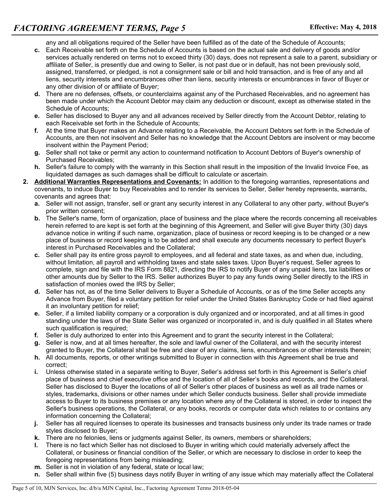any and all obligations required of the Seller have been fulfilled as of the date of the Schedule of Accounts;

- **c.** Each Receivable set forth on the Schedule of Accounts is based on the actual sale and delivery of goods and/or services actually rendered on terms not to exceed thirty (30) days, does not represent a sale to a parent, subsidiary or affiliate of Seller, is presently due and owing to Seller, is not past due or in default, has not been previously sold, assigned, transferred, or pledged, is not a consignment sale or bill and hold transaction, and is free of any and all liens, security interests and encumbrances other than liens, security interests or encumbrances in favor of Buyer or any other division of or affiliate of Buyer;
- **d.** There are no defenses, offsets, or counterclaims against any of the Purchased Receivables, and no agreement has been made under which the Account Debtor may claim any deduction or discount, except as otherwise stated in the Schedule of Accounts;
- **e.** Seller has disclosed to Buyer any and all advances received by Seller directly from the Account Debtor, relating to each Receivable set forth in the Schedule of Accounts;
- **f.** At the time that Buyer makes an Advance relating to a Receivable, the Account Debtors set forth in the Schedule of Accounts, are then not insolvent and Seller has no knowledge that the Account Debtors are insolvent or may become insolvent within the Payment Period;
- **g.** Seller shall not take or permit any action to countermand notification to Account Debtors of Buyer's ownership of Purchased Receivables;
- **h.** Seller's failure to comply with the warranty in this Section shall result in the imposition of the Invalid Invoice Fee, as liquidated damages as such damages shall be difficult to calculate or ascertain.
- **2. Additional Warranties Representations and Covenants:** In addition to the foregoing warranties, representations and covenants, to induce Buyer to buy Receivables and to render its services to Seller, Seller hereby represents, warrants, covenants and agrees that:
	- **a.** Seller will not assign, transfer, sell or grant any security interest in any Collateral to any other party, without Buyer's prior written consent;
	- **b.** The Seller's name, form of organization, place of business and the place where the records concerning all receivables herein referred to are kept is set forth at the beginning of this Agreement, and Seller will give Buyer thirty (30) days advance notice in writing if such name, organization, place of business or record keeping is to be changed or a new place of business or record keeping is to be added and shall execute any documents necessary to perfect Buyer's interest in Purchased Receivables and the Collateral;
	- **c.** Seller shall pay its entire gross payroll to employees, and all federal and state taxes, as and when due, including, without limitation, all payroll and withholding taxes and state sales taxes. Upon Buyer's request, Seller agrees to complete, sign and file with the IRS Form 8821, directing the IRS to notify Buyer of any unpaid liens, tax liabilities or other amounts due by Seller to the IRS. Seller authorizes Buyer to pay any funds owing Seller directly to the IRS in satisfaction of monies owed the IRS by Seller;
	- **d.** Seller has not, as of the time Seller delivers to Buyer a Schedule of Accounts, or as of the time Seller accepts any Advance from Buyer, filed a voluntary petition for relief under the United States Bankruptcy Code or had filed against it an involuntary petition for relief;
	- **e.** Seller, if a limited liability company or a corporation is duly organized and or incorporated, and at all times in good standing under the laws of the State Seller was organized or incorporated in, and is duly qualified in all States where such qualification is required;
	- **f.** Seller is duly authorized to enter into this Agreement and to grant the security interest in the Collateral;
	- **g.** Seller is now, and at all times hereafter, the sole and lawful owner of the Collateral, and with the security interest granted to Buyer, the Collateral shall be free and clear of any claims, liens, encumbrances or other interests therein;
	- **h.** All documents, reports, or other writings submitted to Buyer in connection with this Agreement shall be true and correct;
	- **i.** Unless otherwise stated in a separate writing to Buyer, Seller's address set forth in this Agreement is Seller's chief place of business and chief executive office and the location of all of Seller's books and records, and the Collateral. Seller has disclosed to Buyer the locations of all of Seller's other places of business as well as all trade names or styles, trademarks, divisions or other names under which Seller conducts business. Seller shall provide immediate access to Buyer to its business premises or any location where any of the Collateral is stored, in order to inspect the Seller's business operations, the Collateral, or any books, records or computer data which relates to or contains any information concerning the Collateral;
	- **j.** Seller has all required licenses to operate its businesses and transacts business only under its trade names or trade styles disclosed to Buyer;
	- **k.** There are no felonies, liens or judgments against Seller, its owners, members or shareholders;
	- **l.** There is no fact which Seller has not disclosed to Buyer in writing which could materially adversely affect the Collateral, or business or financial condition of the Seller, or which are necessary to disclose in order to keep the foregoing representations from being misleading;
	- **m.** Seller is not in violation of any federal, state or local law;
	- **n.** Seller shall within five (5) business days notify Buyer in writing of any issue which may materially affect the Collateral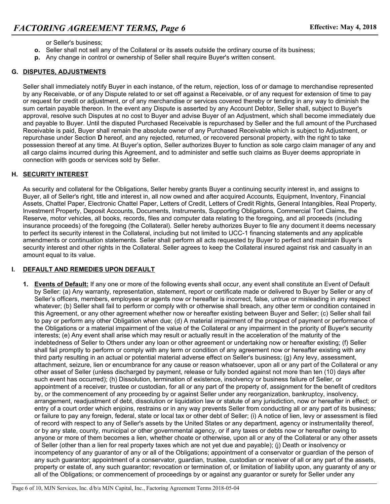- or Seller's business;
- **o.** Seller shall not sell any of the Collateral or its assets outside the ordinary course of its business;
- **p.** Any change in control or ownership of Seller shall require Buyer's written consent.

## **G. DISPUTES, ADJUSTMENTS**

Seller shall immediately notify Buyer in each instance, of the return, rejection, loss of or damage to merchandise represented by any Receivable, or of any Dispute related to or set off against a Receivable, or of any request for extension of time to pay or request for credit or adjustment, or of any merchandise or services covered thereby or tending in any way to diminish the sum certain payable thereon. In the event any Dispute is asserted by any Account Debtor, Seller shall, subject to Buyer's approval, resolve such Disputes at no cost to Buyer and advise Buyer of an Adjustment, which shall become immediately due and payable to Buyer. Until the disputed Purchased Receivable is repurchased by Seller and the full amount of the Purchased Receivable is paid, Buyer shall remain the absolute owner of any Purchased Receivable which is subject to Adjustment, or repurchase under Section **D** hereof, and any rejected, returned, or recovered personal property, with the right to take possession thereof at any time. At Buyer's option, Seller authorizes Buyer to function as sole cargo claim manager of any and all cargo claims incurred during this Agreement, and to administer and settle such claims as Buyer deems appropriate in connection with goods or services sold by Seller.

#### **H. SECURITY INTEREST**

As security and collateral for the Obligations, Seller hereby grants Buyer a continuing security interest in, and assigns to Buyer, all of Seller's right, title and interest in, all now owned and after acquired Accounts, Equipment, Inventory, Financial Assets, Chattel Paper, Electronic Chattel Paper, Letters of Credit, Letters of Credit Rights, General Intangibles, Real Property, Investment Property, Deposit Accounts, Documents, Instruments, Supporting Obligations, Commercial Tort Claims, the Reserve, motor vehicles, all books, records, files and computer data relating to the foregoing, and all proceeds (including insurance proceeds) of the foregoing (the Collateral). Seller hereby authorizes Buyer to file any document it deems necessary to perfect its security interest in the Collateral, including but not limited to UCC-1 financing statements and any applicable amendments or continuation statements. Seller shall perform all acts requested by Buyer to perfect and maintain Buyer's security interest and other rights in the Collateral. Seller agrees to keep the Collateral insured against risk and casualty in an amount equal to its value.

# **I. DEFAULT AND REMEDIES UPON DEFAULT**

**1. Events of Default:** If any one or more of the following events shall occur, any event shall constitute an Event of Default by Seller: (a) Any warranty, representation, statement, report or certificate made or delivered to Buyer by Seller or any of Seller's officers, members, employees or agents now or hereafter is incorrect, false, untrue or misleading in any respect whatever; (b) Seller shall fail to perform or comply with or otherwise shall breach, any other term or condition contained in this Agreement, or any other agreement whether now or hereafter existing between Buyer and Seller; (c) Seller shall fail to pay or perform any other Obligation when due; (d) A material impairment of the prospect of payment or performance of the Obligations or a material impairment of the value of the Collateral or any impairment in the priority of Buyer's security interests; (e) Any event shall arise which may result or actually result in the acceleration of the maturity of the indebtedness of Seller to Others under any loan or other agreement or undertaking now or hereafter existing; (f) Seller shall fail promptly to perform or comply with any term or condition of any agreement now or hereafter existing with any third party resulting in an actual or potential material adverse effect on Seller's business; (g) Any levy, assessment, attachment, seizure, lien or encumbrance for any cause or reason whatsoever, upon all or any part of the Collateral or any other asset of Seller (unless discharged by payment, release or fully bonded against not more than ten (10) days after such event has occurred); (h) Dissolution, termination of existence, insolvency or business failure of Seller, or appointment of a receiver, trustee or custodian, for all or any part of the property of, assignment for the benefit of creditors by, or the commencement of any proceeding by or against Seller under any reorganization, bankruptcy, insolvency, arrangement, readjustment of debt, dissolution or liquidation law or statute of any jurisdiction, now or hereafter in effect; or entry of a court order which enjoins, restrains or in any way prevents Seller from conducting all or any part of its business; or failure to pay any foreign, federal, state or local tax or other debt of Seller; (i) A notice of lien, levy or assessment is filed of record with respect to any of Seller's assets by the United States or any department, agency or instrumentality thereof, or by any state, county, municipal or other governmental agency, or if any taxes or debts now or hereafter owing to anyone or more of them becomes a lien, whether choate or otherwise, upon all or any of the Collateral or any other assets of Seller (other than a lien for real property taxes which are not yet due and payable); (j) Death or insolvency or incompetency of any guarantor of any or all of the Obligations; appointment of a conservator or guardian of the person of any such guarantor; appointment of a conservator, guardian, trustee, custodian or receiver of all or any part of the assets, property or estate of, any such guarantor; revocation or termination of, or limitation of liability upon, any guaranty of any or all of the Obligations; or commencement of proceedings by or against any guarantor or surety for Seller under any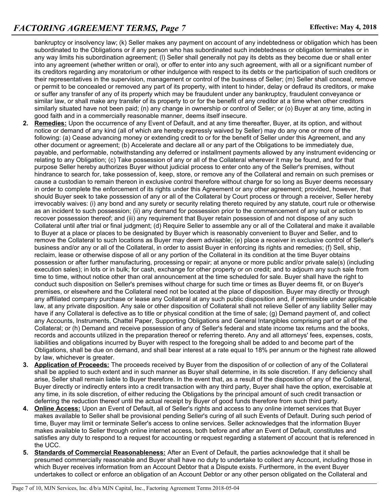bankruptcy or insolvency law; (k) Seller makes any payment on account of any indebtedness or obligation which has been subordinated to the Obligations or if any person who has subordinated such indebtedness or obligation terminates or in any way limits his subordination agreement; (l) Seller shall generally not pay its debts as they become due or shall enter into any agreement (whether written or oral), or offer to enter into any such agreement, with all or a significant number of its creditors regarding any moratorium or other indulgence with respect to its debts or the participation of such creditors or their representatives in the supervision, management or control of the business of Seller; (m) Seller shall conceal, remove or permit to be concealed or removed any part of its property, with intent to hinder, delay or defraud its creditors, or make or suffer any transfer of any of its property which may be fraudulent under any bankruptcy, fraudulent conveyance or similar law, or shall make any transfer of its property to or for the benefit of any creditor at a time when other creditors similarly situated have not been paid; (n) any change in ownership or control of Seller; or (o) Buyer at any time, acting in good faith and in a commercially reasonable manner, deems itself insecure.

- **2. Remedies:** Upon the occurrence of any Event of Default, and at any time thereafter, Buyer, at its option, and without notice or demand of any kind (all of which are hereby expressly waived by Seller) may do any one or more of the following: (a) Cease advancing money or extending credit to or for the benefit of Seller under this Agreement, and any other document or agreement; (b) Accelerate and declare all or any part of the Obligations to be immediately due, payable, and performable, notwithstanding any deferred or installment payments allowed by any instrument evidencing or relating to any Obligation; (c) Take possession of any or all of the Collateral wherever it may be found, and for that purpose Seller hereby authorizes Buyer without judicial process to enter onto any of the Seller's premises, without hindrance to search for, take possession of, keep, store, or remove any of the Collateral and remain on such premises or cause a custodian to remain thereon in exclusive control therefore without charge for so long as Buyer deems necessary in order to complete the enforcement of its rights under this Agreement or any other agreement; provided, however, that should Buyer seek to take possession of any or all of the Collateral by Court process or through a receiver, Seller hereby irrevocably waives: (i) any bond and any surety or security relating thereto required by any statute, court rule or otherwise as an incident to such possession; (ii) any demand for possession prior to the commencement of any suit or action to recover possession thereof; and (iii) any requirement that Buyer retain possession of and not dispose of any such Collateral until after trial or final judgment; (d) Require Seller to assemble any or all of the Collateral and make it available to Buyer at a place or places to be designated by Buyer which is reasonably convenient to Buyer and Seller, and to remove the Collateral to such locations as Buyer may deem advisable; (e) place a receiver in exclusive control of Seller's business and/or any or all of the Collateral, in order to assist Buyer in enforcing its rights and remedies; (f) Sell, ship, reclaim, lease or otherwise dispose of all or any portion of the Collateral in its condition at the time Buyer obtains possession or after further manufacturing, processing or repair; at anyone or more public and/or private sale(s) (including execution sales); in lots or in bulk; for cash, exchange for other property or on credit; and to adjourn any such sale from time to time, without notice other than oral announcement at the time scheduled for sale. Buyer shall have the right to conduct such disposition on Seller's premises without charge for such time or times as Buyer deems fit, or on Buyer's premises, or elsewhere and the Collateral need not be located at the place of disposition. Buyer may directly or through any affiliated company purchase or lease any Collateral at any such public disposition and, if permissible under applicable law, at any private disposition. Any sale or other disposition of Collateral shall not relieve Seller of any liability Seller may have if any Collateral is defective as to title or physical condition at the time of sale; (g) Demand payment of, and collect any Accounts, Instruments, Chattel Paper, Supporting Obligations and General Intangibles comprising part or all of the Collateral; or (h) Demand and receive possession of any of Seller's federal and state income tax returns and the books, records and accounts utilized in the preparation thereof or referring thereto. Any and all attorneys' fees, expenses, costs, liabilities and obligations incurred by Buyer with respect to the foregoing shall be added to and become part of the Obligations, shall be due on demand, and shall bear interest at a rate equal to 18% per annum or the highest rate allowed by law, whichever is greater.
- **3. Application of Proceeds:** The proceeds received by Buyer from the disposition of or collection of any of the Collateral shall be applied to such extent and in such manner as Buyer shall determine, in its sole discretion. If any deficiency shall arise, Seller shall remain liable to Buyer therefore. In the event that, as a result of the disposition of any of the Collateral, Buyer directly or indirectly enters into a credit transaction with any third party, Buyer shall have the option, exercisable at any time, in its sole discretion, of either reducing the Obligations by the principal amount of such credit transaction or deferring the reduction thereof until the actual receipt by Buyer of good funds therefore from such third party.
- **4. Online Access:** Upon an Event of Default, all of Seller's rights and access to any online internet services that Buyer makes available to Seller shall be provisional pending Seller's curing of all such Events of Default. During such period of time, Buyer may limit or terminate Seller's access to online services. Seller acknowledges that the information Buyer makes available to Seller through online internet access, both before and after an Event of Default, constitutes and satisfies any duty to respond to a request for accounting or request regarding a statement of account that is referenced in the UCC.
- **5. Standards of Commercial Reasonableness:** After an Event of Default, the parties acknowledge that it shall be presumed commercially reasonable and Buyer shall have no duty to undertake to collect any Account, including those in which Buyer receives information from an Account Debtor that a Dispute exists. Furthermore, in the event Buyer undertakes to collect or enforce an obligation of an Account Debtor or any other person obligated on the Collateral and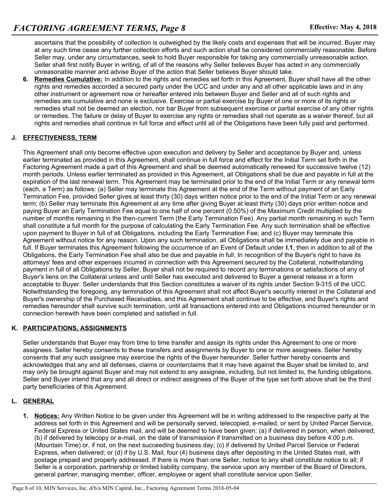ascertains that the possibility of collection is outweighed by the likely costs and expenses that will be incurred, Buyer may at any such time cease any further collection efforts and such action shall be considered commercially reasonable. Before Seller may, under any circumstances, seek to hold Buyer responsible for taking any commercially unreasonable action, Seller shall first notify Buyer in writing, of all of the reasons why Seller believes Buyer has acted in any commercially unreasonable manner and advise Buyer of the action that Seller believes Buyer should take.

**6. Remedies Cumulative:** In addition to the rights and remedies set forth in this Agreement, Buyer shall have all the other rights and remedies accorded a secured party under the UCC and under any and all other applicable laws and in any other instrument or agreement now or hereafter entered into between Buyer and Seller and all of such rights and remedies are cumulative and none is exclusive. Exercise or partial exercise by Buyer of one or more of its rights or remedies shall not be deemed an election, nor bar Buyer from subsequent exercise or partial exercise of any other rights or remedies. The failure or delay of Buyer to exercise any rights or remedies shall not operate as a waiver thereof, but all rights and remedies shall continue in full force and effect until all of the Obligations have been fully paid and performed.

### **J. EFFECTIVENESS, TERM**

This Agreement shall only become effective upon execution and delivery by Seller and acceptance by Buyer and, unless earlier terminated as provided in this Agreement, shall continue in full force and effect for the Initial Term set forth in the Factoring Agreement made a part of this Agreement and shall be deemed automatically renewed for successive twelve (12) month periods. Unless earlier terminated as provided in this Agreement, all Obligations shall be due and payable in full at the expiration of the last renewal term. This Agreement may be terminated prior to the end of the Initial Term or any renewal term (each, a Term) as follows: (a) Seller may terminate this Agreement at the end of the Term without payment of an Early Termination Fee, provided Seller gives at least thirty (30) days written notice prior to the end of the Initial Term or any renewal term; (b) Seller may terminate this Agreement at any time after giving Buyer at least thirty (30) days prior written notice and paying Buyer an Early Termination Fee equal to one half of one percent (0.50%) of the Maximum Credit multiplied by the number of months remaining in the then-current Term (the Early Termination Fee). Any partial month remaining in such Term shall constitute a full month for the purpose of calculating the Early Termination Fee. Any such termination shall be effective upon payment to Buyer in full of all Obligations, including the Early Termination Fee; and (c) Buyer may terminate this Agreement without notice for any reason. Upon any such termination, all Obligations shall be immediately due and payable in full. If Buyer terminates this Agreement following the occurrence of an Event of Default under **I.1**, then in addition to all of the Obligations, the Early Termination Fee shall also be due and payable in full. In recognition of the Buyer's right to have its attorneys' fees and other expenses incurred in connection with this Agreement secured by the Collateral, notwithstanding payment in full of all Obligations by Seller, Buyer shall not be required to record any terminations or satisfactions of any of Buyer's liens on the Collateral unless and until Seller has executed and delivered to Buyer a general release in a form acceptable to Buyer. Seller understands that this Section constitutes a waiver of its rights under Section 9-315 of the UCC. Notwithstanding the foregoing, any termination of this Agreement shall not affect Buyer's security interest in the Collateral and Buyer's ownership of the Purchased Receivables, and this Agreement shall continue to be effective, and Buyer's rights and remedies hereunder shall survive such termination, until all transactions entered into and Obligations incurred hereunder or in connection herewith have been completed and satisfied in full.

#### **K. PARTICIPATIONS, ASSIGNMENTS**

Seller understands that Buyer may from time to time transfer and assign its rights under this Agreement to one or more assignees. Seller hereby consents to these transfers and assignments by Buyer to one or more assignees. Seller hereby consents that any such assignee may exercise the rights of the Buyer hereunder. Seller further hereby consents and acknowledges that any and all defenses, claims or counterclaims that it may have against the Buyer shall be limited to, and may only be brought against Buyer and may not extend to any assignee, including, but not limited to, the funding obligations. Seller and Buyer intend that any and all direct or indirect assignees of the Buyer of the type set forth above shall be the third party beneficiaries of this Agreement.

# **L. GENERAL**

**1. Notices:** Any Written Notice to be given under this Agreement will be in writing addressed to the respective party at the address set forth in this Agreement and will be personally served, telecopied, e-mailed, or sent by United Parcel Service, Federal Express or United States mail, and will be deemed to have been given: (a) if delivered in person, when delivered; (b) if delivered by telecopy or e-mail, on the date of transmission if transmitted on a business day before 4:00 p.m. (Mountain Time) or, if not, on the next succeeding business day; (c) if delivered by United Parcel Service or Federal Express, when delivered; or (d) if by U.S. Mail, four (4) business days after depositing in the United States mail, with postage prepaid and properly addressed. If there is more than one Seller, notice to any shall constitute notice to all; if Seller is a corporation, partnership or limited liability company, the service upon any member of the Board of Directors, general partner, managing member, officer, employee or agent shall constitute service upon Seller.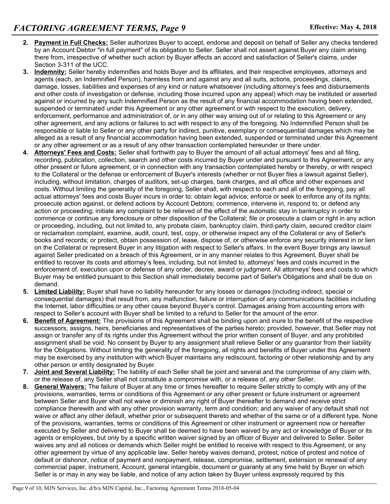- **2. Payment in Full Checks:** Seller authorizes Buyer to accept, endorse and deposit on behalf of Seller any checks tendered by an Account Debtor "in full payment" of its obligation to Seller. Seller shall not assert against Buyer any claim arising there from, irrespective of whether such action by Buyer affects an accord and satisfaction of Seller's claims, under Section 3-311 of the UCC.
- **3. Indemnity:** Seller hereby indemnifies and holds Buyer and its affiliates, and their respective employees, attorneys and agents (each, an Indemnified Person), harmless from and against any and all suits, actions, proceedings, claims, damage, losses, liabilities and expenses of any kind or nature whatsoever (including attorney's fees and disbursements and other costs of investigation or defense, including those incurred upon any appeal) which may be instituted or asserted against or incurred by any such Indemnified Person as the result of any financial accommodation having been extended, suspended or terminated under this Agreement or any other agreement or with respect to the execution, delivery, enforcement, performance and administration of, or in any other way arising out of or relating to this Agreement or any other agreement, and any actions or failures to act with respect to any of the foregoing. No Indemnified Person shall be responsible or liable to Seller or any other party for indirect, punitive, exemplary or consequential damages which may be alleged as a result of any financial accommodation having been extended, suspended or terminated under this Agreement or any other agreement or as a result of any other transaction contemplated hereunder or there under.
- **4. Attorneys' Fees and Costs:** Seller shall forthwith pay to Buyer the amount of all actual attorneys' fees and all filing, recording, publication, collection, search and other costs incurred by Buyer under and pursuant to this Agreement, or any other present or future agreement, or in connection with any transaction contemplated hereby or thereby, or with respect to the Collateral or the defense or enforcement of Buyer's interests (whether or not Buyer files a lawsuit against Seller), including, without limitation, charges of auditors, set-up charges, bank charges, and all office and other expenses and costs. Without limiting the generality of the foregoing, Seller shall, with respect to each and all of the foregoing, pay all actual attorneys' fees and costs Buyer incurs in order to: obtain legal advice; enforce or seek to enforce any of its rights; prosecute action against, or defend actions by Account Debtors; commence, intervene in, respond to, or defend any action or proceeding; initiate any complaint to be relieved of the effect of the automatic stay in bankruptcy in order to commence or continue any foreclosure or other disposition of the Collateral; file or prosecute a claim or right in any action or proceeding, including, but not limited to, any probate claim, bankruptcy claim, third-party claim, secured creditor claim or reclamation complaint, examine, audit, count, test, copy, or otherwise inspect any of the Collateral or any of Seller's books and records; or protect, obtain possession of, lease, dispose of, or otherwise enforce any security interest in or lien on the Collateral or represent Buyer in any litigation with respect to Seller's affairs. In the event Buyer brings any lawsuit against Seller predicated on a breach of this Agreement, or in any manner relates to this Agreement, Buyer shall be entitled to recover its costs and attorney's fees, including, but not limited to, attorneys' fees and costs incurred in the enforcement of, execution upon or defense of any order, decree, award or judgment. All attorneys' fees and costs to which Buyer may be entitled pursuant to this Section shall immediately become part of Seller's Obligations and shall be due on demand.
- **5. Limited Liability:** Buyer shall have no liability hereunder for any losses or damages (including indirect, special or consequential damages) that result from, any malfunction, failure or interruption of any communications facilities including the Internet, labor difficulties or any other cause beyond Buyer's control. Damages arising from accounting errors with respect to Seller's account with Buyer shall be limited to a refund to Seller for the amount of the error.
- **6. Benefit of Agreement:** The provisions of this Agreement shall be binding upon and inure to the benefit of the respective successors, assigns, heirs, beneficiaries and representatives of the parties hereto; provided, however, that Seller may not assign or transfer any of its rights under this Agreement without the prior written consent of Buyer, and any prohibited assignment shall be void. No consent by Buyer to any assignment shall relieve Seller or any guarantor from their liability for the Obligations. Without limiting the generality of the foregoing, all rights and benefits of Buyer under this Agreement may be exercised by any institution with which Buyer maintains any rediscount, factoring or other relationship and by any other person or entity designated by Buyer.
- **7. Joint and Several Liability:** The liability of each Seller shall be joint and several and the compromise of any claim with, or the release of, any Seller shall not constitute a compromise with, or a release of, any other Seller.
- **8. General Waivers:** The failure of Buyer at any time or times hereafter to require Seller strictly to comply with any of the provisions, warranties, terms or conditions of this Agreement or any other present or future instrument or agreement between Seller and Buyer shall not waive or diminish any right of Buyer thereafter to demand and receive strict compliance therewith and with any other provision warranty, term and condition; and any waiver of any default shall not waive or affect any other default, whether prior or subsequent thereto and whether of the same or of a different type. None of the provisions, warranties, terms or conditions of this Agreement or other instrument or agreement now or hereafter executed by Seller and delivered to Buyer shall be deemed to have been waived by any act or knowledge of Buyer or its agents or employees, but only by a specific written waiver signed by an officer of Buyer and delivered to Seller. Seller waives any and all notices or demands which Seller might be entitled to receive with respect to this Agreement, or any other agreement by virtue of any applicable law. Seller hereby waives demand, protest, notice of protest and notice of default or dishonor, notice of payment and nonpayment, release, compromise, settlement, extension or renewal of any commercial paper, instrument, Account, general intangible, document or guaranty at any time held by Buyer on which Seller is or may in any way be liable, and notice of any action taken by Buyer unless expressly required by this